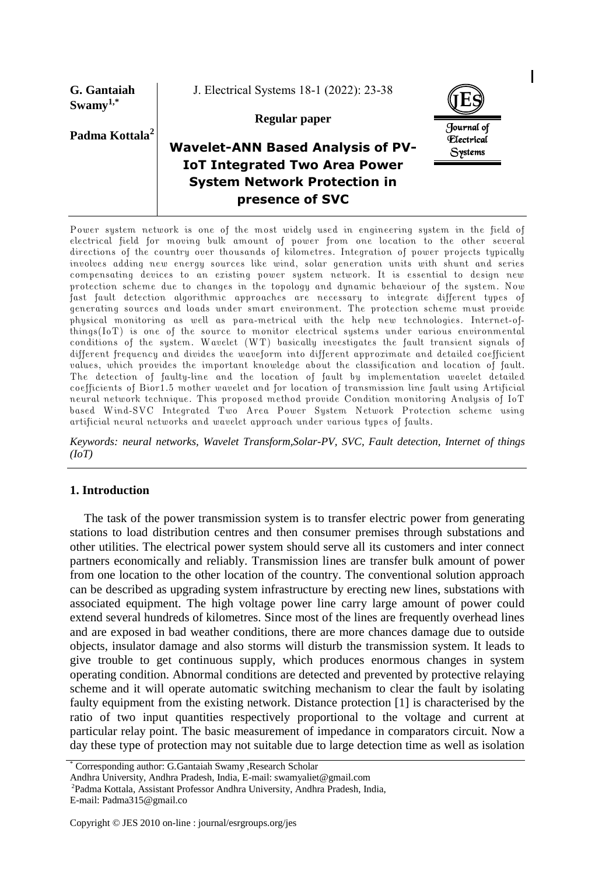**G. Gantaiah Swamy1,\***

J. Electrical Systems 18-1 (2022): 23-38

**JES** Journal of Electrical Systems

## **Padma Kottala<sup>2</sup>**

**Regular paper**

# **Wavelet-ANN Based Analysis of PV-IoT Integrated Two Area Power System Network Protection in presence of SVC**

Power system network is one of the most widely used in engineering system in the field of electrical field for moving bulk amount of power from one location to the other several directions of the country over thousands of kilometres. Integration of power projects typically involves adding new energy sources like wind, solar generation units with shunt and series compensating devices to an existing power system network. It is essential to design new protection scheme due to changes in the topology and dynamic behaviour of the system. Now fast fault detection algorithmic approaches are necessary to integrate different types of generating sources and loads under smart environment. The protection scheme must provide physical monitoring as well as para-metrical with the help new technologies. Internet-ofthings(IoT) is one of the source to monitor electrical systems under various environmental conditions of the system. Wavelet (WT) basically investigates the fault transient signals of different frequency and divides the waveform into different approximate and detailed coefficient values, which provides the important knowledge about the classification and location of fault. The detection of faulty-line and the location of fault by implementation wavelet detailed coefficients of Bior1.5 mother wavelet and for location of transmission line fault using Artificial neural network technique. This proposed method provide Condition monitoring Analysis of IoT based Wind-SVC Integrated Two Area Power System Network Protection scheme using artificial neural networks and wavelet approach under various types of faults.

*Keywords: neural networks, Wavelet Transform,Solar-PV, SVC, Fault detection, Internet of things (IoT)*

#### **1. Introduction**

The task of the power transmission system is to transfer electric power from generating stations to load distribution centres and then consumer premises through substations and other utilities. The electrical power system should serve all its customers and inter connect partners economically and reliably. Transmission lines are transfer bulk amount of power from one location to the other location of the country. The conventional solution approach can be described as upgrading system infrastructure by erecting new lines, substations with associated equipment. The high voltage power line carry large amount of power could extend several hundreds of kilometres. Since most of the lines are frequently overhead lines and are exposed in bad weather conditions, there are more chances damage due to outside objects, insulator damage and also storms will disturb the transmission system. It leads to give trouble to get continuous supply, which produces enormous changes in system operating condition. Abnormal conditions are detected and prevented by protective relaying scheme and it will operate automatic switching mechanism to clear the fault by isolating faulty equipment from the existing network. Distance protection [1] is characterised by the ratio of two input quantities respectively proportional to the voltage and current at particular relay point. The basic measurement of impedance in comparators circuit. Now a day these type of protection may not suitable due to large detection time as well as isolation

<sup>\*</sup> Corresponding author: G.Gantaiah Swamy ,Research Scholar

Andhra University, Andhra Pradesh, India, E-mail: swamyaliet@gmail.com

<sup>2</sup>Padma Kottala, Assistant Professor Andhra University, Andhra Pradesh, India, E-mail: Padma315@gmail.co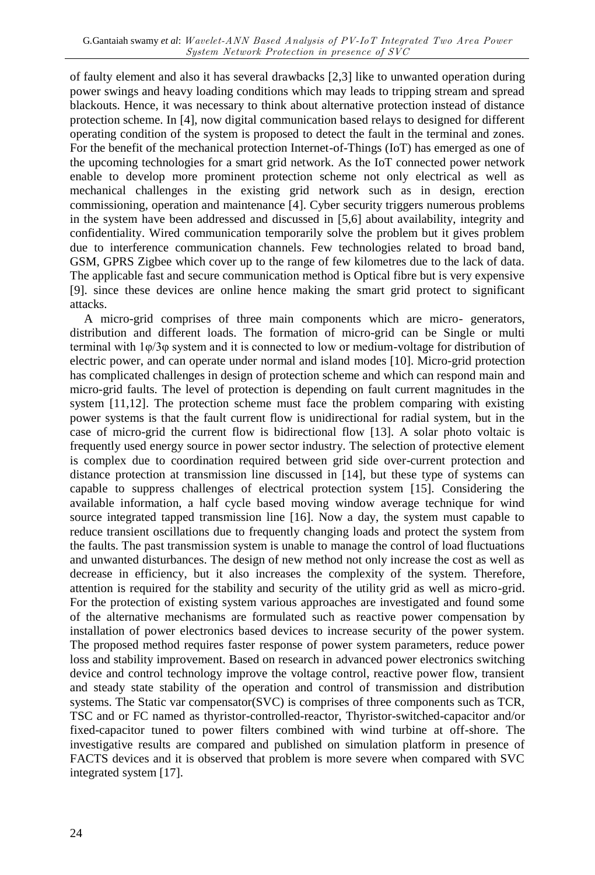of faulty element and also it has several drawbacks [2,3] like to unwanted operation during power swings and heavy loading conditions which may leads to tripping stream and spread blackouts. Hence, it was necessary to think about alternative protection instead of distance protection scheme. In [4], now digital communication based relays to designed for different operating condition of the system is proposed to detect the fault in the terminal and zones. For the benefit of the mechanical protection Internet-of-Things (IoT) has emerged as one of the upcoming technologies for a smart grid network. As the IoT connected power network enable to develop more prominent protection scheme not only electrical as well as mechanical challenges in the existing grid network such as in design, erection commissioning, operation and maintenance [4]. Cyber security triggers numerous problems in the system have been addressed and discussed in [5,6] about availability, integrity and confidentiality. Wired communication temporarily solve the problem but it gives problem due to interference communication channels. Few technologies related to broad band, GSM, GPRS Zigbee which cover up to the range of few kilometres due to the lack of data. The applicable fast and secure communication method is Optical fibre but is very expensive [9]. since these devices are online hence making the smart grid protect to significant attacks.

A micro-grid comprises of three main components which are micro- generators, distribution and different loads. The formation of micro-grid can be Single or multi terminal with  $1\varphi/3\varphi$  system and it is connected to low or medium-voltage for distribution of electric power, and can operate under normal and island modes [10]. Micro-grid protection has complicated challenges in design of protection scheme and which can respond main and micro-grid faults. The level of protection is depending on fault current magnitudes in the system [11,12]. The protection scheme must face the problem comparing with existing power systems is that the fault current flow is unidirectional for radial system, but in the case of micro-grid the current flow is bidirectional flow [13]. A solar photo voltaic is frequently used energy source in power sector industry. The selection of protective element is complex due to coordination required between grid side over-current protection and distance protection at transmission line discussed in [14], but these type of systems can capable to suppress challenges of electrical protection system [15]. Considering the available information, a half cycle based moving window average technique for wind source integrated tapped transmission line [16]. Now a day, the system must capable to reduce transient oscillations due to frequently changing loads and protect the system from the faults. The past transmission system is unable to manage the control of load fluctuations and unwanted disturbances. The design of new method not only increase the cost as well as decrease in efficiency, but it also increases the complexity of the system. Therefore, attention is required for the stability and security of the utility grid as well as micro-grid. For the protection of existing system various approaches are investigated and found some of the alternative mechanisms are formulated such as reactive power compensation by installation of power electronics based devices to increase security of the power system. The proposed method requires faster response of power system parameters, reduce power loss and stability improvement. Based on research in advanced power electronics switching device and control technology improve the voltage control, reactive power flow, transient and steady state stability of the operation and control of transmission and distribution systems. The Static var compensator(SVC) is comprises of three components such as TCR, TSC and or FC named as thyristor-controlled-reactor, Thyristor-switched-capacitor and/or fixed-capacitor tuned to power filters combined with wind turbine at off-shore. The investigative results are compared and published on simulation platform in presence of FACTS devices and it is observed that problem is more severe when compared with SVC integrated system [17].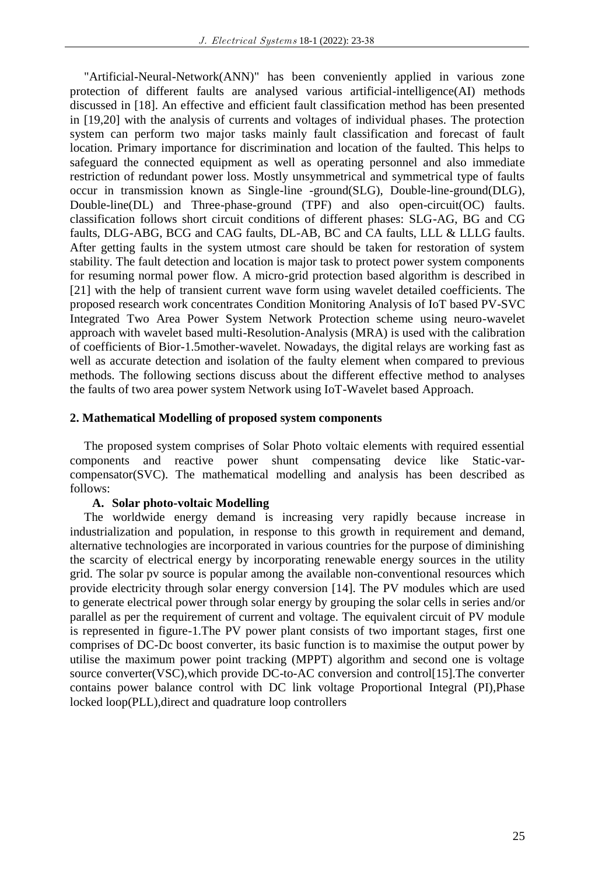"Artificial-Neural-Network(ANN)" has been conveniently applied in various zone protection of different faults are analysed various artificial-intelligence(AI) methods discussed in [18]. An effective and efficient fault classification method has been presented in [19,20] with the analysis of currents and voltages of individual phases. The protection system can perform two major tasks mainly fault classification and forecast of fault location. Primary importance for discrimination and location of the faulted. This helps to safeguard the connected equipment as well as operating personnel and also immediate restriction of redundant power loss. Mostly unsymmetrical and symmetrical type of faults occur in transmission known as Single-line -ground(SLG), Double-line-ground(DLG), Double-line(DL) and Three-phase-ground (TPF) and also open-circuit(OC) faults. classification follows short circuit conditions of different phases: SLG-AG, BG and CG faults, DLG-ABG, BCG and CAG faults, DL-AB, BC and CA faults, LLL & LLLG faults. After getting faults in the system utmost care should be taken for restoration of system stability. The fault detection and location is major task to protect power system components for resuming normal power flow. A micro-grid protection based algorithm is described in [21] with the help of transient current wave form using wavelet detailed coefficients. The proposed research work concentrates Condition Monitoring Analysis of IoT based PV-SVC Integrated Two Area Power System Network Protection scheme using neuro-wavelet approach with wavelet based multi-Resolution-Analysis (MRA) is used with the calibration of coefficients of Bior-1.5mother-wavelet. Nowadays, the digital relays are working fast as well as accurate detection and isolation of the faulty element when compared to previous methods. The following sections discuss about the different effective method to analyses the faults of two area power system Network using IoT-Wavelet based Approach.

## **2. Mathematical Modelling of proposed system components**

The proposed system comprises of Solar Photo voltaic elements with required essential components and reactive power shunt compensating device like Static-varcompensator(SVC). The mathematical modelling and analysis has been described as follows:

## **A. Solar photo-voltaic Modelling**

The worldwide energy demand is increasing very rapidly because increase in industrialization and population, in response to this growth in requirement and demand, alternative technologies are incorporated in various countries for the purpose of diminishing the scarcity of electrical energy by incorporating renewable energy sources in the utility grid. The solar pv source is popular among the available non-conventional resources which provide electricity through solar energy conversion [14]. The PV modules which are used to generate electrical power through solar energy by grouping the solar cells in series and/or parallel as per the requirement of current and voltage. The equivalent circuit of PV module is represented in figure-1.The PV power plant consists of two important stages, first one comprises of DC-Dc boost converter, its basic function is to maximise the output power by utilise the maximum power point tracking (MPPT) algorithm and second one is voltage source converter(VSC), which provide DC-to-AC conversion and control[15]. The converter contains power balance control with DC link voltage Proportional Integral (PI),Phase locked loop(PLL),direct and quadrature loop controllers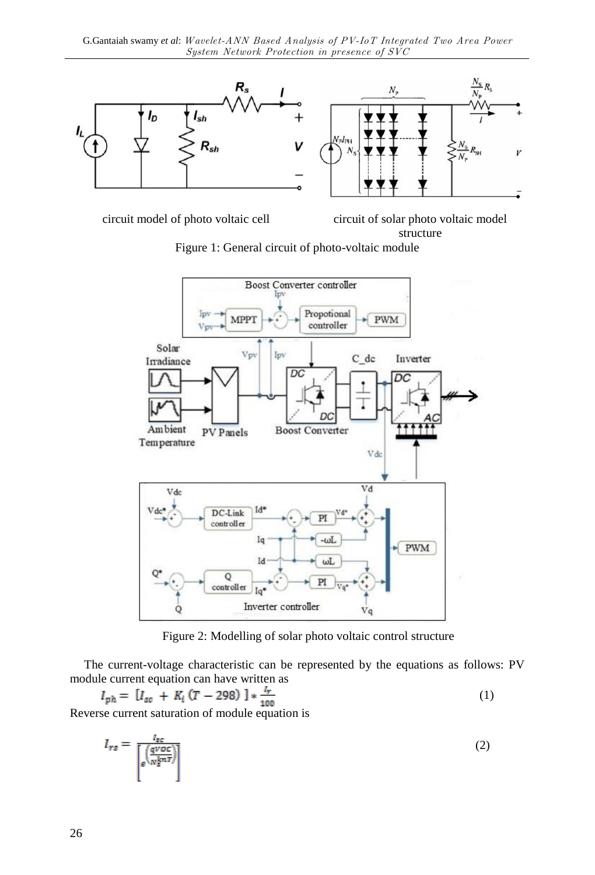

circuit model of photo voltaic cell circuit of solar photo voltaic model structure

Figure 1: General circuit of photo-voltaic module



Figure 2: Modelling of solar photo voltaic control structure

The current-voltage characteristic can be represented by the equations as follows: PV module current equation can have written as

$$
I_{ph} = [I_{sc} + K_i (T - 298)] * \frac{I_r}{100}
$$
 (1)

Reverse current saturation of module equation is

$$
I_{rs} = \frac{I_{sc}}{\left[\frac{q\text{voc}}{N_s^{knT}}\right]}
$$
 (2)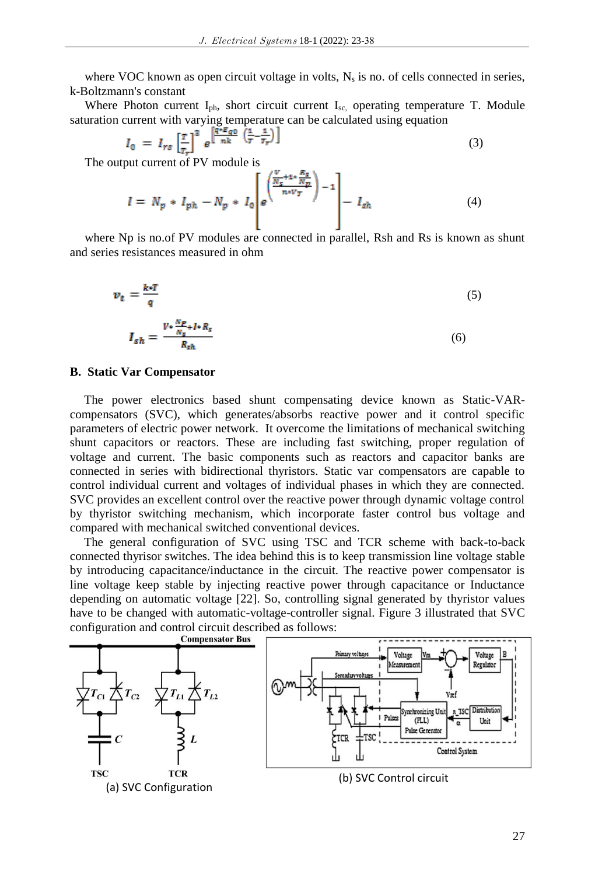where VOC known as open circuit voltage in volts,  $N_s$  is no. of cells connected in series, k-Boltzmann's constant

Where Photon current I<sub>ph</sub>, short circuit current I<sub>sc,</sub> operating temperature T. Module saturation current with varying temperature can be calculated using equation

$$
I_0 = I_{rs} \left[ \frac{\tau}{\tau_r} \right]^3 e^{\left[ \frac{q*\mathcal{E}_{q0}}{\pi k} \left( \frac{1}{\tau} - \frac{1}{\tau_r} \right) \right]}
$$
(3)

The output current of PV module is

$$
I = N_p * I_{ph} - N_p * I_0 \left[ e^{\left( \frac{V_s + 1 * \frac{R_s}{N_p}}{n \times V_T} \right) - 1} \right] - I_{sh}
$$
 (4)

where Np is no.of PV modules are connected in parallel, Rsh and Rs is known as shunt and series resistances measured in ohm

$$
v_t = \frac{k \cdot T}{q} \tag{5}
$$

$$
I_{sh} = \frac{V \cdot \frac{W_s}{N_s} + I \cdot R_s}{R_{sh}} \tag{6}
$$

#### **B. Static Var Compensator**

The power electronics based shunt compensating device known as Static-VARcompensators (SVC), which generates/absorbs reactive power and it control specific parameters of electric power network. It overcome the limitations of mechanical switching shunt capacitors or reactors. These are including fast switching, proper regulation of voltage and current. The basic components such as reactors and capacitor banks are connected in series with bidirectional thyristors. Static var compensators are capable to control individual current and voltages of individual phases in which they are connected. SVC provides an excellent control over the reactive power through dynamic voltage control by thyristor switching mechanism, which incorporate faster control bus voltage and compared with mechanical switched conventional devices.

The general configuration of SVC using TSC and TCR scheme with back-to-back connected thyrisor switches. The idea behind this is to keep transmission line voltage stable by introducing capacitance/inductance in the circuit. The reactive power compensator is line voltage keep stable by injecting reactive power through capacitance or Inductance depending on automatic voltage [22]. So, controlling signal generated by thyristor values have to be changed with automatic-voltage-controller signal. Figure 3 illustrated that SVC configuration and control circuit described as follows:<br>Compensator Bus

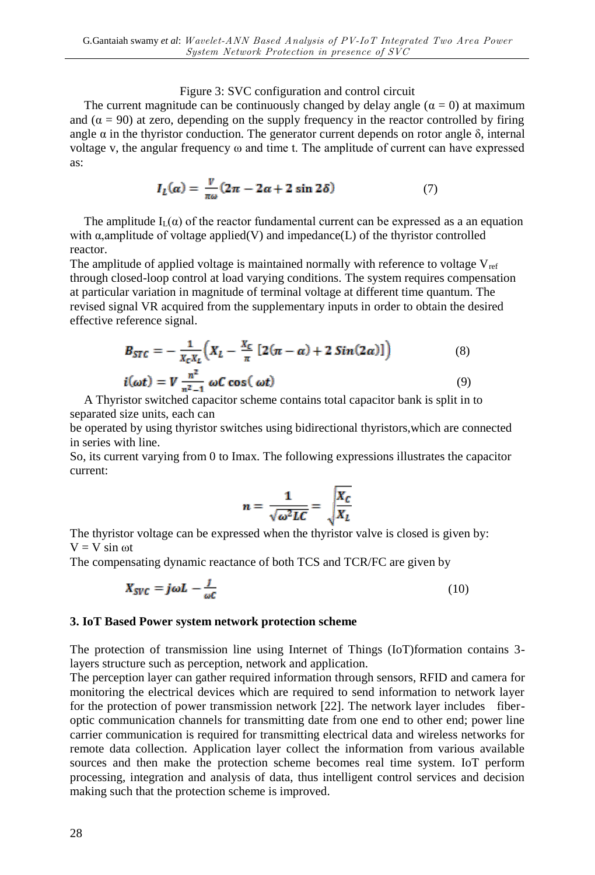## Figure 3: SVC configuration and control circuit

The current magnitude can be continuously changed by delay angle  $(\alpha = 0)$  at maximum and  $(\alpha = 90)$  at zero, depending on the supply frequency in the reactor controlled by firing angle  $\alpha$  in the thyristor conduction. The generator current depends on rotor angle  $\delta$ , internal voltage v, the angular frequency ω and time t. The amplitude of current can have expressed as:

$$
I_L(\alpha) = \frac{v}{\pi \omega} (2\pi - 2\alpha + 2\sin 2\delta)
$$
 (7)

The amplitude  $I_1(\alpha)$  of the reactor fundamental current can be expressed as a an equation with  $\alpha$ ,amplitude of voltage applied(V) and impedance(L) of the thyristor controlled reactor.

The amplitude of applied voltage is maintained normally with reference to voltage  $V_{ref}$ through closed-loop control at load varying conditions. The system requires compensation at particular variation in magnitude of terminal voltage at different time quantum. The revised signal VR acquired from the supplementary inputs in order to obtain the desired effective reference signal.

$$
B_{STC} = -\frac{1}{X_c X_L} \Big( X_L - \frac{X_C}{\pi} \left[ 2(\pi - \alpha) + 2 \sin(2\alpha) \right] \Big)
$$
(8)  

$$
i(\omega t) = V \frac{n^2}{n^2 - 1} \omega C \cos(\omega t)
$$
(9)

A Thyristor switched capacitor scheme contains total capacitor bank is split in to separated size units, each can

be operated by using thyristor switches using bidirectional thyristors,which are connected in series with line.

So, its current varying from 0 to Imax. The following expressions illustrates the capacitor current:

$$
n = \frac{1}{\sqrt{\omega^2 LC}} = \sqrt{\frac{X_C}{X_L}}
$$

The thyristor voltage can be expressed when the thyristor valve is closed is given by:  $V = V \sin \omega t$ 

The compensating dynamic reactance of both TCS and TCR/FC are given by

$$
X_{SVC} = j\omega L - \frac{1}{\omega C} \tag{10}
$$

#### **3. IoT Based Power system network protection scheme**

The protection of transmission line using Internet of Things (IoT)formation contains 3 layers structure such as perception, network and application.

The perception layer can gather required information through sensors, RFID and camera for monitoring the electrical devices which are required to send information to network layer for the protection of power transmission network [22]. The network layer includes fiberoptic communication channels for transmitting date from one end to other end; power line carrier communication is required for transmitting electrical data and wireless networks for remote data collection. Application layer collect the information from various available sources and then make the protection scheme becomes real time system. IoT perform processing, integration and analysis of data, thus intelligent control services and decision making such that the protection scheme is improved.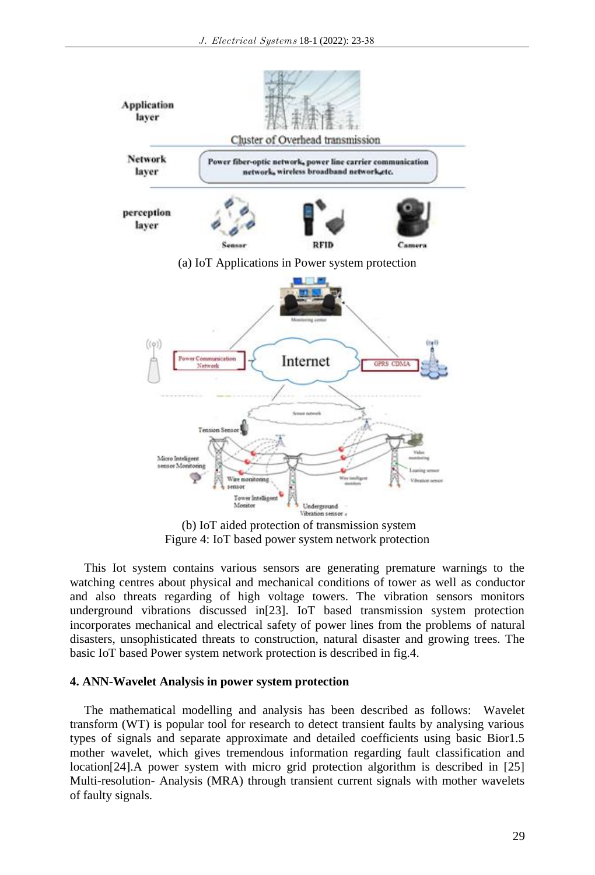

(b) IoT aided protection of transmission system Figure 4: IoT based power system network protection

This Iot system contains various sensors are generating premature warnings to the watching centres about physical and mechanical conditions of tower as well as conductor and also threats regarding of high voltage towers. The vibration sensors monitors underground vibrations discussed in[23]. IoT based transmission system protection incorporates mechanical and electrical safety of power lines from the problems of natural disasters, unsophisticated threats to construction, natural disaster and growing trees. The basic IoT based Power system network protection is described in fig.4.

#### **4. ANN-Wavelet Analysis in power system protection**

The mathematical modelling and analysis has been described as follows: Wavelet transform (WT) is popular tool for research to detect transient faults by analysing various types of signals and separate approximate and detailed coefficients using basic Bior1.5 mother wavelet, which gives tremendous information regarding fault classification and location[24].A power system with micro grid protection algorithm is described in [25] Multi-resolution- Analysis (MRA) through transient current signals with mother wavelets of faulty signals.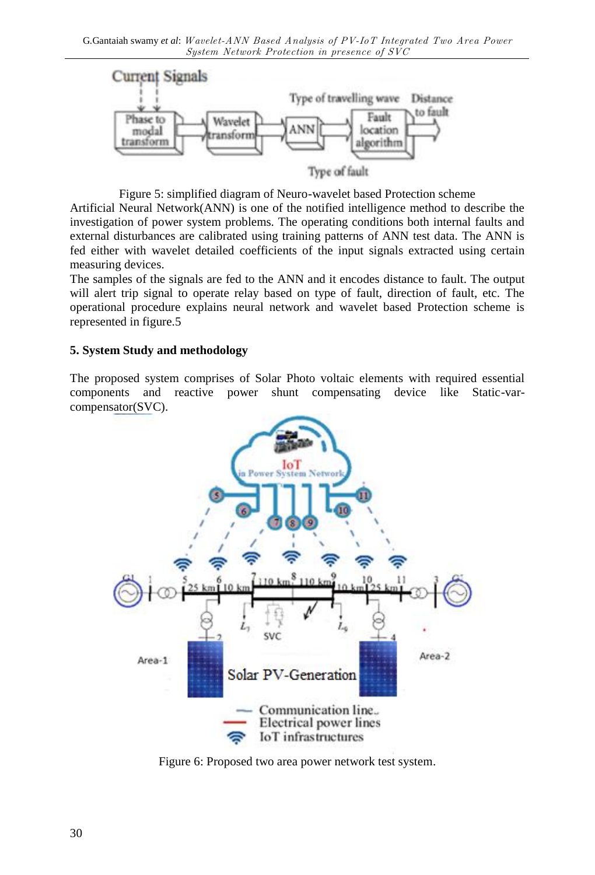

Figure 5: simplified diagram of Neuro-wavelet based Protection scheme

Artificial Neural Network(ANN) is one of the notified intelligence method to describe the investigation of power system problems. The operating conditions both internal faults and external disturbances are calibrated using training patterns of ANN test data. The ANN is fed either with wavelet detailed coefficients of the input signals extracted using certain measuring devices.

The samples of the signals are fed to the ANN and it encodes distance to fault. The output will alert trip signal to operate relay based on type of fault, direction of fault, etc. The operational procedure explains neural network and wavelet based Protection scheme is represented in figure.5

## **5. System Study and methodology**

The proposed system comprises of Solar Photo voltaic elements with required essential components and reactive power shunt compensating device like Static-varcompensator(SVC).



Figure 6: Proposed two area power network test system.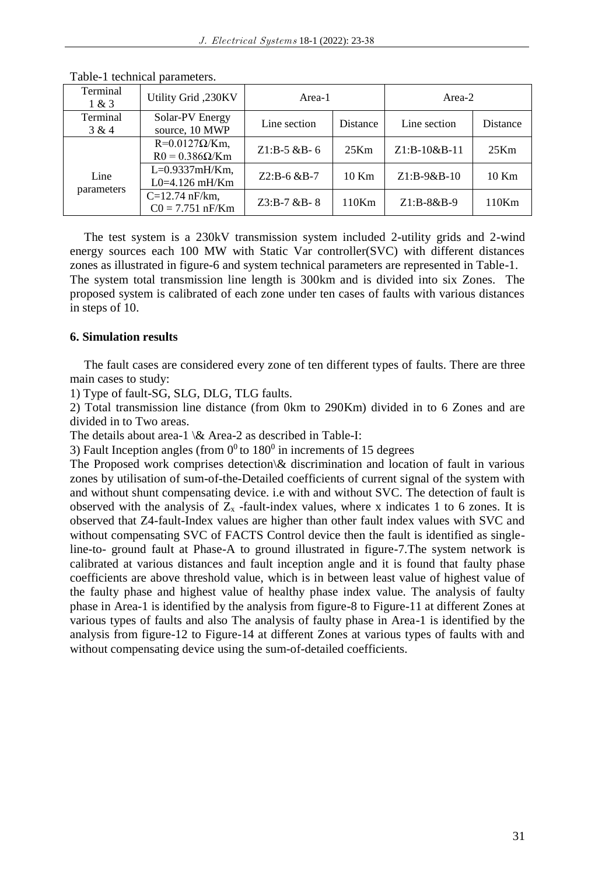| Terminal<br>1 & 3 | Utility Grid, 230KV                             | Area-1            |          | Area-2        |          |
|-------------------|-------------------------------------------------|-------------------|----------|---------------|----------|
| Terminal<br>3 & 4 | Solar-PV Energy<br>source, 10 MWP               | Line section      | Distance | Line section  | Distance |
|                   | $R=0.0127\Omega/Km$ ,<br>$R0 = 0.386 \Omega/Km$ | $Z1: B-5 & B-6$   | 25Km     | Z1:B-10&B-11  | 25Km     |
| Line              | $L=0.9337mH/Km$ ,<br>$L0=4.126$ mH/Km           | $Z2:B-6$ &B-7     | 10 Km    | $Z1:B-9&B-10$ | $10$ Km  |
| parameters        | $C=12.74$ nF/km.<br>$C0 = 7.751$ nF/Km          | $Z3: B-7 & B-B-8$ | $110$ Km | $Z1:B-8&B-9$  | 110Km    |

Table-1 technical parameters.

The test system is a 230kV transmission system included 2-utility grids and 2-wind energy sources each 100 MW with Static Var controller(SVC) with different distances zones as illustrated in figure-6 and system technical parameters are represented in Table-1. The system total transmission line length is 300km and is divided into six Zones. The proposed system is calibrated of each zone under ten cases of faults with various distances in steps of 10.

## **6. Simulation results**

The fault cases are considered every zone of ten different types of faults. There are three main cases to study:

1) Type of fault-SG, SLG, DLG, TLG faults.

2) Total transmission line distance (from 0km to 290Km) divided in to 6 Zones and are divided in to Two areas.

The details about area-1 \& Area-2 as described in Table-I:

3) Fault Inception angles (from  $0^0$  to 180<sup>0</sup> in increments of 15 degrees

The Proposed work comprises detection $\&$  discrimination and location of fault in various zones by utilisation of sum-of-the-Detailed coefficients of current signal of the system with and without shunt compensating device. i.e with and without SVC. The detection of fault is observed with the analysis of  $Z_x$  -fault-index values, where x indicates 1 to 6 zones. It is observed that Z4-fault-Index values are higher than other fault index values with SVC and without compensating SVC of FACTS Control device then the fault is identified as singleline-to- ground fault at Phase-A to ground illustrated in figure-7.The system network is calibrated at various distances and fault inception angle and it is found that faulty phase coefficients are above threshold value, which is in between least value of highest value of the faulty phase and highest value of healthy phase index value. The analysis of faulty phase in Area-1 is identified by the analysis from figure-8 to Figure-11 at different Zones at various types of faults and also The analysis of faulty phase in Area-1 is identified by the analysis from figure-12 to Figure-14 at different Zones at various types of faults with and without compensating device using the sum-of-detailed coefficients.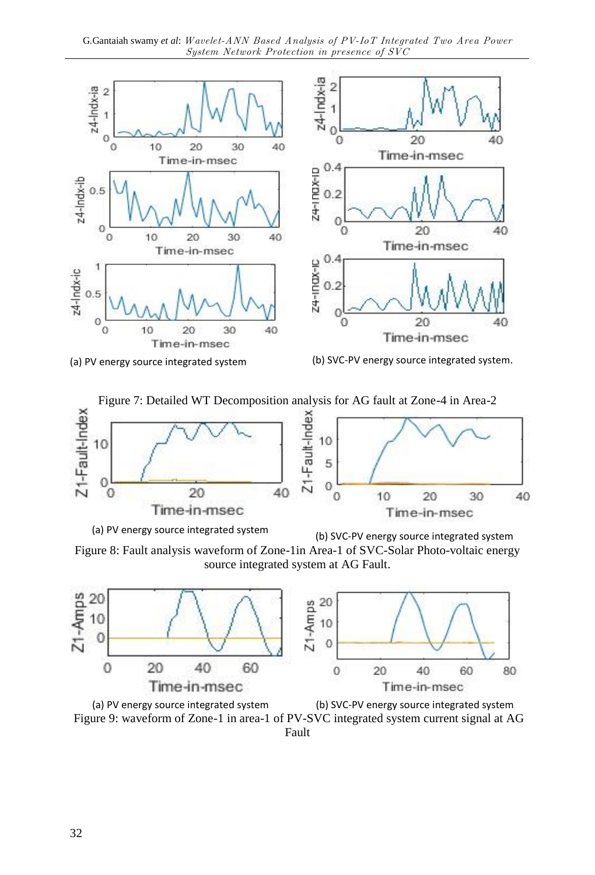











(a) PV energy source integrated system (b) SVC-PV energy source integrated system

Figure 8: Fault analysis waveform of Zone-1in Area-1 of SVC-Solar Photo-voltaic energy source integrated system at AG Fault.



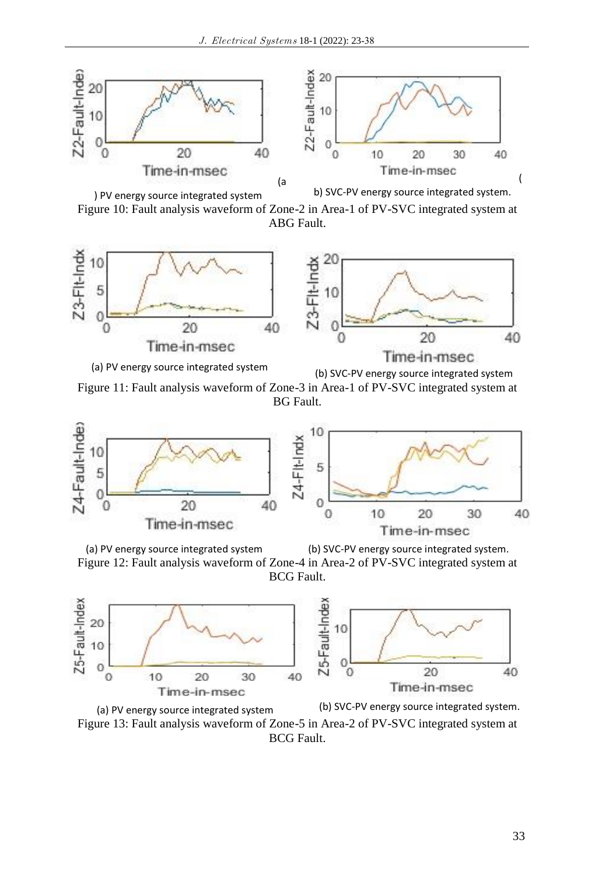

Figure 10: Fault analysis waveform of Zone-2 in Area-1 of PV-SVC integrated system at ABG Fault.



Figure 11: Fault analysis waveform of Zone-3 in Area-1 of PV-SVC integrated system at BG Fault.



(a) PV energy source integrated system (b) SVC-PV energy source integrated system. Figure 12: Fault analysis waveform of Zone-4 in Area-2 of PV-SVC integrated system at

BCG Fault.



(a) PV energy source integrated system (b) SVC-PV energy source integrated system. Figure 13: Fault analysis waveform of Zone-5 in Area-2 of PV-SVC integrated system at BCG Fault.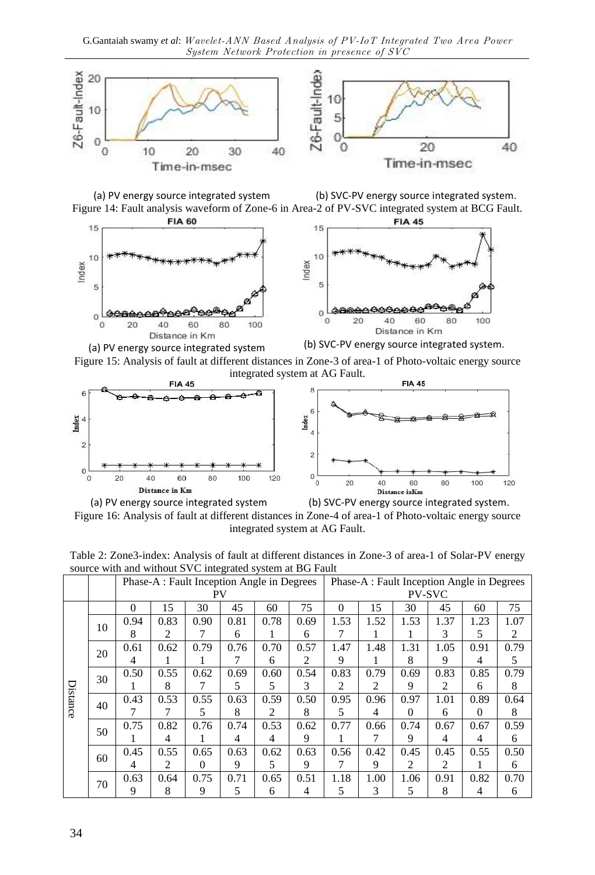

(a) PV energy source integrated system (b) SVC-PV energy source integrated system. Figure 14: Fault analysis waveform of Zone-6 in Area-2 of PV-SVC integrated system at BCG Fault.





(a) PV energy source integrated system (b) SVC-PV energy source integrated system. Figure 15: Analysis of fault at different distances in Zone-3 of area-1 of Photo-voltaic energy source integrated system at AG Fault.





(a) PV energy source integrated system (b) SVC-PV energy source integrated system. Figure 16: Analysis of fault at different distances in Zone-4 of area-1 of Photo-voltaic energy source integrated system at AG Fault.

| Table 2: Zone3-index: Analysis of fault at different distances in Zone-3 of area-1 of Solar-PV energy |  |
|-------------------------------------------------------------------------------------------------------|--|
| source with and without SVC integrated system at BG Fault                                             |  |

|          |    |          | Phase-A : Fault Inception Angle in Degrees |      |      |      |      | Phase-A : Fault Inception Angle in Degrees |      |                |      |          |      |
|----------|----|----------|--------------------------------------------|------|------|------|------|--------------------------------------------|------|----------------|------|----------|------|
|          |    |          |                                            | PV   |      |      |      |                                            |      | <b>PV-SVC</b>  |      |          |      |
|          |    | $\Omega$ | 15                                         | 30   | 45   | 60   | 75   | $\Omega$                                   | 15   | 30             | 45   | 60       | 75   |
|          | 10 | 0.94     | 0.83                                       | 0.90 | 0.81 | 0.78 | 0.69 | 1.53                                       | 1.52 | 1.53           | 1.37 | 1.23     | 1.07 |
|          |    | 8        | 2                                          |      | 6    |      | 6    | 7                                          | L    | п              | 3    | 5        | 2    |
|          | 20 | 0.61     | 0.62                                       | 0.79 | 0.76 | 0.70 | 0.57 | 1.47                                       | 1.48 | 1.31           | 1.05 | 0.91     | 0.79 |
|          |    | 4        |                                            |      | 7    | 6    | 2    | 9                                          |      | 8              | 9    | 4        | 5    |
|          | 30 | 0.50     | 0.55                                       | 0.62 | 0.69 | 0.60 | 0.54 | 0.83                                       | 0.79 | 0.69           | 0.83 | 0.85     | 0.79 |
|          |    |          | 8                                          |      | 5    | 5    | 3    | 2                                          | 2    | 9              | 2    | 6        | 8    |
| Distance | 40 | 0.43     | 0.53                                       | 0.55 | 0.63 | 0.59 | 0.50 | 0.95                                       | 0.96 | 0.97           | 1.01 | 0.89     | 0.64 |
|          |    |          |                                            | 5    | 8    | 2    | 8    | 5                                          | 4    | $\Omega$       | 6    | $\Omega$ | 8    |
|          | 50 | 0.75     | 0.82                                       | 0.76 | 0.74 | 0.53 | 0.62 | 0.77                                       | 0.66 | 0.74           | 0.67 | 0.67     | 0.59 |
|          |    |          | 4                                          |      | 4    | 4    | 9    |                                            | 7    | 9              | 4    | 4        | 6    |
|          | 60 | 0.45     | 0.55                                       | 0.65 | 0.63 | 0.62 | 0.63 | 0.56                                       | 0.42 | 0.45           | 0.45 | 0.55     | 0.50 |
|          |    | 4        | 2                                          | 0    | 9    | 5    | 9    |                                            | 9    | $\overline{2}$ | 2    |          | 6    |
|          | 70 | 0.63     | 0.64                                       | 0.75 | 0.71 | 0.65 | 0.51 | 1.18                                       | 1.00 | 1.06           | 0.91 | 0.82     | 0.70 |
|          |    | 9        | 8                                          | 9    | 5    | 6    | 4    | 5                                          | 3    | 5              | 8    | 4        | 6    |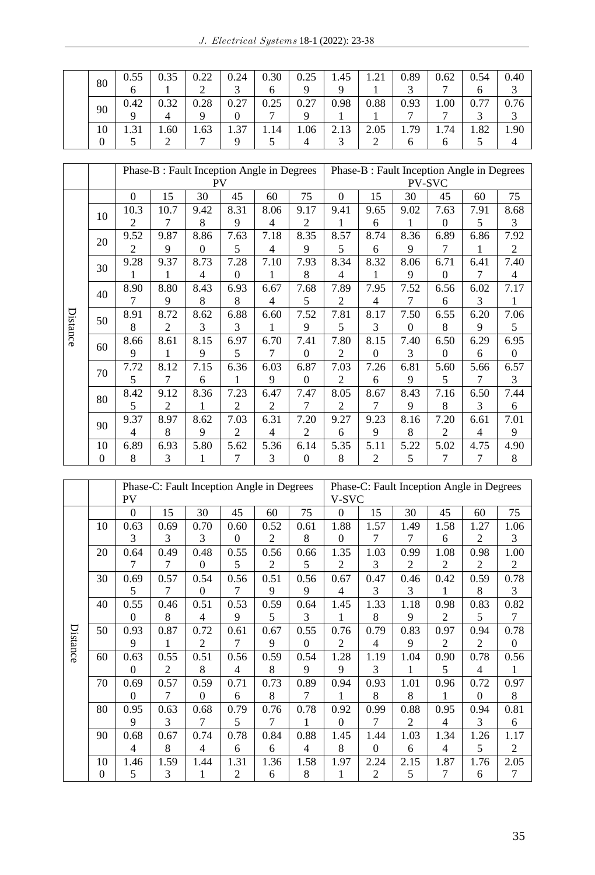| 80      | 0.55<br>O | 0.35 | 0.22 | 0.24 | 0.30 | 0.25 | 1.45<br>Q | 1.21 | 0.89 | 0.62 | 0.54 | 0.40 |
|---------|-----------|------|------|------|------|------|-----------|------|------|------|------|------|
| 90      | 0.42<br>Q | 0.32 | 0.28 | 0.27 | 0.25 | 0.27 | 0.98      | 0.88 | 0.93 | .00. | 0.77 |      |
| 10<br>0 |           | 1.60 | 1.63 | 1.37 | .14  | 1.06 | 2.13      | 2.05 | 1.79 | 1.74 | 1.82 | 1.90 |

|          |          |                | Phase-B : Fault Inception Angle in Degrees |                |              |                |              | Phase-B : Fault Inception Angle in Degrees |                |          |                |      |                |
|----------|----------|----------------|--------------------------------------------|----------------|--------------|----------------|--------------|--------------------------------------------|----------------|----------|----------------|------|----------------|
|          |          |                |                                            | <b>PV</b>      |              |                |              |                                            |                |          | <b>PV-SVC</b>  |      |                |
|          |          | $\theta$       | 15                                         | 30             | 45           | 60             | 75           | $\Omega$                                   | 15             | 30       | 45             | 60   | 75             |
|          | 10       | 10.3           | 10.7                                       | 9.42           | 8.31         | 8.06           | 9.17         | 9.41                                       | 9.65           | 9.02     | 7.63           | 7.91 | 8.68           |
|          |          | $\overline{2}$ | 7                                          | 8              | 9            | 4              | 2            | 1                                          | 6              | 1        | $\Omega$       | 5    | 3              |
|          | 20       | 9.52           | 9.87                                       | 8.86           | 7.63         | 7.18           | 8.35         | 8.57                                       | 8.74           | 8.36     | 6.89           | 6.86 | 7.92           |
|          |          | $\overline{c}$ | 9                                          | $\Omega$       | 5            | 4              | 9            | 5                                          | 6              | 9        | 7              | 1    | 2              |
|          | 30       | 9.28           | 9.37                                       | 8.73           | 7.28         | 7.10           | 7.93         | 8.34                                       | 8.32           | 8.06     | 6.71           | 6.41 | 7.40           |
|          |          |                | 1                                          | $\overline{4}$ | $\mathbf{0}$ | 1              | 8            | $\overline{4}$                             | 1              | 9        | $\Omega$       | 7    | $\overline{4}$ |
|          | 40       | 8.90           | 8.80                                       | 8.43           | 6.93         | 6.67           | 7.68         | 7.89                                       | 7.95           | 7.52     | 6.56           | 6.02 | 7.17           |
|          |          | 7              | 9                                          | 8              | 8            | 4              | 5            | 2                                          | 4              | 7        | 6              | 3    | 1              |
|          | 50       | 8.91           | 8.72                                       | 8.62           | 6.88         | 6.60           | 7.52         | 7.81                                       | 8.17           | 7.50     | 6.55           | 6.20 | 7.06           |
| Distance |          | 8              | $\overline{c}$                             | 3              | 3            | 1              | 9            | 5                                          | 3              | $\Omega$ | 8              | 9    | 5              |
|          | 60       | 8.66           | 8.61                                       | 8.15           | 6.97         | 6.70           | 7.41         | 7.80                                       | 8.15           | 7.40     | 6.50           | 6.29 | 6.95           |
|          |          | 9              | 1                                          | 9              | 5            | 7              | $\mathbf{0}$ | 2                                          | $\overline{0}$ | 3        | $\Omega$       | 6    | $\mathbf{0}$   |
|          | 70       | 7.72           | 8.12                                       | 7.15           | 6.36         | 6.03           | 6.87         | 7.03                                       | 7.26           | 6.81     | 5.60           | 5.66 | 6.57           |
|          |          | 5              | 7                                          | 6              | 1            | 9              | $\mathbf{0}$ | 2                                          | 6              | 9        | 5              | 7    | 3              |
|          | 80       | 8.42           | 9.12                                       | 8.36           | 7.23         | 6.47           | 7.47         | 8.05                                       | 8.67           | 8.43     | 7.16           | 6.50 | 7.44           |
|          |          | 5              | 2                                          | 1              | 2            | $\overline{c}$ | 7            | 2                                          | 7              | 9        | 8              | 3    | 6              |
|          | 90       | 9.37           | 8.97                                       | 8.62           | 7.03         | 6.31           | 7.20         | 9.27                                       | 9.23           | 8.16     | 7.20           | 6.61 | 7.01           |
|          |          | $\overline{4}$ | 8                                          | 9              | 2            | $\overline{4}$ | 2            | 6                                          | 9              | 8        | $\overline{2}$ | 4    | 9              |
|          | 10       | 6.89           | 6.93                                       | 5.80           | 5.62         | 5.36           | 6.14         | 5.35                                       | 5.11           | 5.22     | 5.02           | 4.75 | 4.90           |
|          | $\Omega$ | 8              | 3                                          | 1              | 7            | 3              | $\mathbf{0}$ | 8                                          | 2              | 5        | 7              | 7    | 8              |

|          |          |                | Phase-C: Fault Inception Angle in Degrees |                |                |                |                | Phase-C: Fault Inception Angle in Degrees |          |                |                |                |                |
|----------|----------|----------------|-------------------------------------------|----------------|----------------|----------------|----------------|-------------------------------------------|----------|----------------|----------------|----------------|----------------|
|          |          | <b>PV</b>      |                                           |                |                |                |                | V-SVC                                     |          |                |                |                |                |
|          |          | $\Omega$       | 15                                        | 30             | 45             | 60             | 75             | $\Omega$                                  | 15       | 30             | 45             | 60             | 75             |
|          | 10       | 0.63           | 0.69                                      | 0.70           | 0.60           | 0.52           | 0.61           | 1.88                                      | 1.57     | 1.49           | 1.58           | 1.27           | 1.06           |
|          |          | 3              | 3                                         | 3              | $\Omega$       | $\overline{2}$ | 8              | $\Omega$                                  | 7        | 7              | 6              | 2              | 3              |
|          | 20       | 0.64           | 0.49                                      | 0.48           | 0.55           | 0.56           | 0.66           | 1.35                                      | 1.03     | 0.99           | 1.08           | 0.98           | 1.00           |
|          |          | 7              | 7                                         | 0              | 5              | $\overline{2}$ | 5              | 2                                         | 3        | $\overline{c}$ | $\overline{2}$ | $\overline{2}$ | 2              |
|          | 30       | 0.69           | 0.57                                      | 0.54           | 0.56           | 0.51           | 0.56           | 0.67                                      | 0.47     | 0.46           | 0.42           | 0.59           | 0.78           |
|          |          | 5              | 7                                         | $\overline{0}$ | 7              | 9              | 9              | $\overline{4}$                            | 3        | 3              | 1              | 8              | 3              |
|          | 40       | 0.55           | 0.46                                      | 0.51           | 0.53           | 0.59           | 0.64           | 1.45                                      | 1.33     | 1.18           | 0.98           | 0.83           | 0.82           |
|          |          | $\Omega$       | 8                                         | 4              | 9              | 5              | 3              | 1                                         | 8        | 9              | $\overline{2}$ | 5              | 7              |
|          | 50       | 0.93           | 0.87                                      | 0.72           | 0.61           | 0.67           | 0.55           | 0.76                                      | 0.79     | 0.83           | 0.97           | 0.94           | 0.78           |
| Distance |          | 9              | 1                                         | 2              | 7              | 9              | $\Omega$       | 2                                         | 4        | 9              | $\overline{c}$ | 2              | $\mathbf{0}$   |
|          | 60       | 0.63           | 0.55                                      | 0.51           | 0.56           | 0.59           | 0.54           | 1.28                                      | 1.19     | 1.04           | 0.90           | 0.78           | 0.56           |
|          |          | $\Omega$       | $\overline{2}$                            | 8              | 4              | 8              | 9              | 9                                         | 3        | 1              | 5              | 4              |                |
|          | 70       | 0.69           | 0.57                                      | 0.59           | 0.71           | 0.73           | 0.89           | 0.94                                      | 0.93     | 1.01           | 0.96           | 0.72           | 0.97           |
|          |          | $\Omega$       | 7                                         | 0              | 6              | 8              | 7              | 1                                         | 8        | 8              |                | $\theta$       | 8              |
|          | 80       | 0.95           | 0.63                                      | 0.68           | 0.79           | 0.76           | 0.78           | 0.92                                      | 0.99     | 0.88           | 0.95           | 0.94           | 0.81           |
|          |          | 9              | 3                                         | 7              | 5              | 7              | 1              | $\overline{0}$                            | 7        | 2              | 4              | 3              | 6              |
|          | 90       | 0.68           | 0.67                                      | 0.74           | 0.78           | 0.84           | 0.88           | 1.45                                      | 1.44     | 1.03           | 1.34           | 1.26           | 1.17           |
|          |          | $\overline{4}$ | 8                                         | 4              | 6              | 6              | $\overline{4}$ | 8                                         | $\Omega$ | 6              | $\overline{4}$ | 5              | $\overline{2}$ |
|          | 10       | 1.46           | 1.59                                      | 1.44           | 1.31           | 1.36           | 1.58           | 1.97                                      | 2.24     | 2.15           | 1.87           | 1.76           | 2.05           |
|          | $\Omega$ | 5              | 3                                         | 1              | $\overline{c}$ | 6              | 8              | 1                                         | 2        | 5              | 7              | 6              | 7              |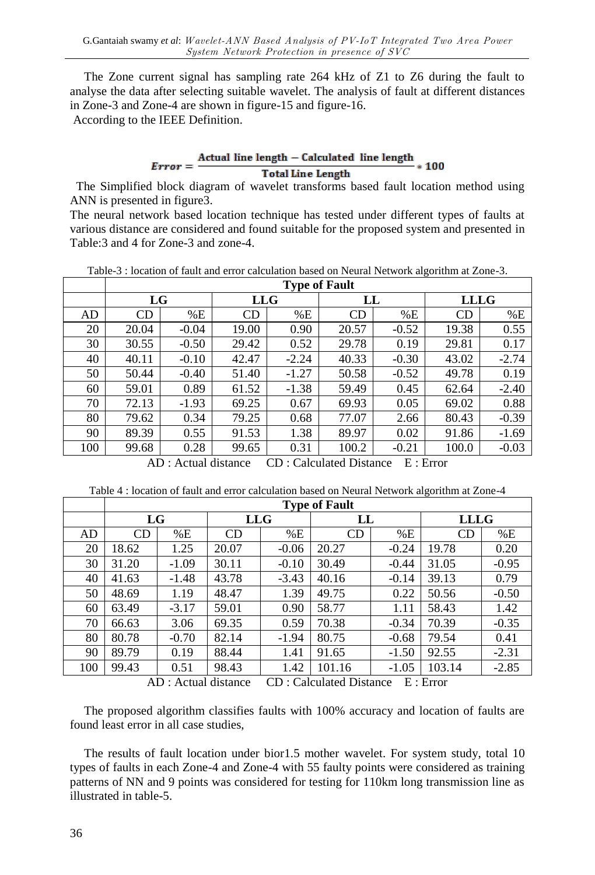The Zone current signal has sampling rate 264 kHz of Z1 to Z6 during the fault to analyse the data after selecting suitable wavelet. The analysis of fault at different distances in Zone-3 and Zone-4 are shown in figure-15 and figure-16.

According to the IEEE Definition.

#### $Error = \frac{Actual line length - Calculated line length}{T + 111 + 11 + 11}$  $*100$ **Total Line Length**

 The Simplified block diagram of wavelet transforms based fault location method using ANN is presented in figure3.

The neural network based location technique has tested under different types of faults at various distance are considered and found suitable for the proposed system and presented in Table:3 and 4 for Zone-3 and zone-4.

| Table-3 : location of fault and error calculation based on Neural Network algorithm at Zone-3. |  |
|------------------------------------------------------------------------------------------------|--|
|------------------------------------------------------------------------------------------------|--|

|     |       | <b>Type of Fault</b> |            |         |           |         |             |         |  |  |  |  |  |
|-----|-------|----------------------|------------|---------|-----------|---------|-------------|---------|--|--|--|--|--|
|     | LG    |                      | <b>LLG</b> |         | LL        |         | <b>LLLG</b> |         |  |  |  |  |  |
| AD  | CD    | %E                   | <b>CD</b>  | %E      | <b>CD</b> | %E      | <b>CD</b>   | %E      |  |  |  |  |  |
| 20  | 20.04 | $-0.04$              | 19.00      | 0.90    | 20.57     | $-0.52$ | 19.38       | 0.55    |  |  |  |  |  |
| 30  | 30.55 | $-0.50$              | 29.42      | 0.52    | 29.78     | 0.19    | 29.81       | 0.17    |  |  |  |  |  |
| 40  | 40.11 | $-0.10$              | 42.47      | $-2.24$ | 40.33     | $-0.30$ | 43.02       | $-2.74$ |  |  |  |  |  |
| 50  | 50.44 | $-0.40$              | 51.40      | $-1.27$ | 50.58     | $-0.52$ | 49.78       | 0.19    |  |  |  |  |  |
| 60  | 59.01 | 0.89                 | 61.52      | $-1.38$ | 59.49     | 0.45    | 62.64       | $-2.40$ |  |  |  |  |  |
| 70  | 72.13 | $-1.93$              | 69.25      | 0.67    | 69.93     | 0.05    | 69.02       | 0.88    |  |  |  |  |  |
| 80  | 79.62 | 0.34                 | 79.25      | 0.68    | 77.07     | 2.66    | 80.43       | $-0.39$ |  |  |  |  |  |
| 90  | 89.39 | 0.55                 | 91.53      | 1.38    | 89.97     | 0.02    | 91.86       | $-1.69$ |  |  |  |  |  |
| 100 | 99.68 | 0.28                 | 99.65      | 0.31    | 100.2     | $-0.21$ | 100.0       | $-0.03$ |  |  |  |  |  |

AD : Actual distance CD : Calculated Distance E : Error

| Table 4 : location of fault and error calculation based on Neural Network algorithm at Zone-4 |  |
|-----------------------------------------------------------------------------------------------|--|
|-----------------------------------------------------------------------------------------------|--|

|     | <b>Type of Fault</b> |         |            |         |        |         |             |         |  |  |  |
|-----|----------------------|---------|------------|---------|--------|---------|-------------|---------|--|--|--|
|     | LG                   |         | <b>LLG</b> |         | LL     |         | <b>LLLG</b> |         |  |  |  |
| AD  | CD                   | %E      | CD         | %E      | CD     | %E      | CD          | %E      |  |  |  |
| 20  | 18.62                | 1.25    | 20.07      | $-0.06$ | 20.27  | $-0.24$ | 19.78       | 0.20    |  |  |  |
| 30  | 31.20                | $-1.09$ | 30.11      | $-0.10$ | 30.49  | $-0.44$ | 31.05       | $-0.95$ |  |  |  |
| 40  | 41.63                | $-1.48$ | 43.78      | $-3.43$ | 40.16  | $-0.14$ | 39.13       | 0.79    |  |  |  |
| 50  | 48.69                | 1.19    | 48.47      | 1.39    | 49.75  | 0.22    | 50.56       | $-0.50$ |  |  |  |
| 60  | 63.49                | $-3.17$ | 59.01      | 0.90    | 58.77  | 1.11    | 58.43       | 1.42    |  |  |  |
| 70  | 66.63                | 3.06    | 69.35      | 0.59    | 70.38  | $-0.34$ | 70.39       | $-0.35$ |  |  |  |
| 80  | 80.78                | $-0.70$ | 82.14      | $-1.94$ | 80.75  | $-0.68$ | 79.54       | 0.41    |  |  |  |
| 90  | 89.79                | 0.19    | 88.44      | 1.41    | 91.65  | $-1.50$ | 92.55       | $-2.31$ |  |  |  |
| 100 | 99.43                | 0.51    | 98.43      | 1.42    | 101.16 | $-1.05$ | 103.14      | $-2.85$ |  |  |  |

AD : Actual distance CD : Calculated Distance E : Error

The proposed algorithm classifies faults with 100% accuracy and location of faults are found least error in all case studies,

The results of fault location under bior1.5 mother wavelet. For system study, total 10 types of faults in each Zone-4 and Zone-4 with 55 faulty points were considered as training patterns of NN and 9 points was considered for testing for 110km long transmission line as illustrated in table-5.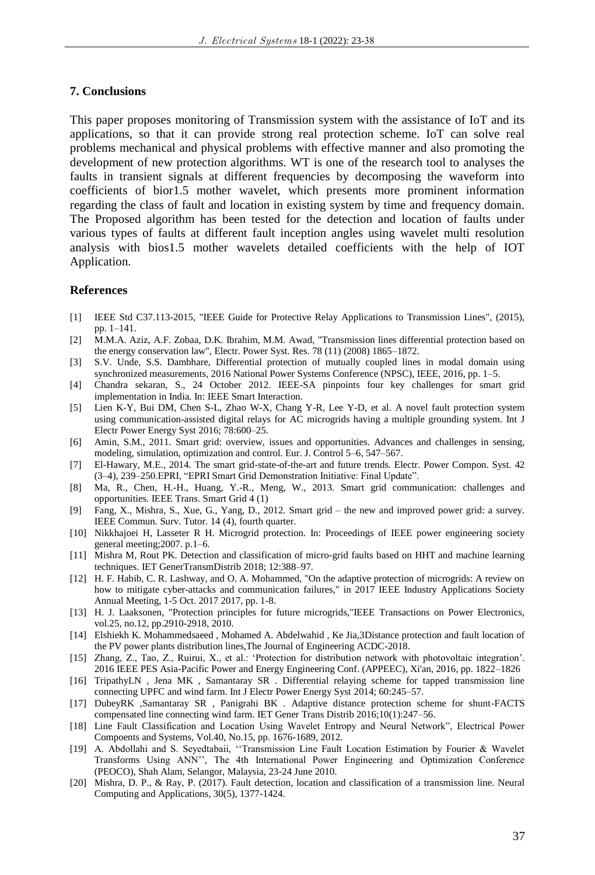## **7. Conclusions**

This paper proposes monitoring of Transmission system with the assistance of IoT and its applications, so that it can provide strong real protection scheme. IoT can solve real problems mechanical and physical problems with effective manner and also promoting the development of new protection algorithms. WT is one of the research tool to analyses the faults in transient signals at different frequencies by decomposing the waveform into coefficients of bior1.5 mother wavelet, which presents more prominent information regarding the class of fault and location in existing system by time and frequency domain. The Proposed algorithm has been tested for the detection and location of faults under various types of faults at different fault inception angles using wavelet multi resolution analysis with bios1.5 mother wavelets detailed coefficients with the help of IOT Application.

## **References**

- [1] IEEE Std C37.113-2015, "IEEE Guide for Protective Relay Applications to Transmission Lines", (2015), pp. 1–141.
- [2] M.M.A. Aziz, A.F. Zobaa, D.K. Ibrahim, M.M. Awad, "Transmission lines differential protection based on the energy conservation law", Electr. Power Syst. Res. 78 (11) (2008) 1865–1872.
- [3] S.V. Unde, S.S. Dambhare, Differential protection of mutually coupled lines in modal domain using synchronized measurements, 2016 National Power Systems Conference (NPSC), IEEE, 2016, pp. 1–5.
- [4] Chandra sekaran, S., 24 October 2012. IEEE-SA pinpoints four key challenges for smart grid implementation in India. In: IEEE Smart Interaction.
- [5] Lien K-Y, Bui DM, Chen S-L, Zhao W-X, Chang Y-R, Lee Y-D, et al. A novel fault protection system using communication-assisted digital relays for AC microgrids having a multiple grounding system. Int J Electr Power Energy Syst 2016; 78:600–25.
- [6] Amin, S.M., 2011. Smart grid: overview, issues and opportunities. Advances and challenges in sensing, modeling, simulation, optimization and control. Eur. J. Control 5–6, 547–567.
- [7] El-Hawary, M.E., 2014. The smart grid-state-of-the-art and future trends. Electr. Power Compon. Syst. 42 (3–4), 239–250.EPRI, "EPRI Smart Grid Demonstration Initiative: Final Update".
- [8] Ma, R., Chen, H.-H., Huang, Y.-R., Meng, W., 2013. Smart grid communication: challenges and opportunities. IEEE Trans. Smart Grid 4 (1)
- [9] Fang, X., Mishra, S., Xue, G., Yang, D., 2012. Smart grid the new and improved power grid: a survey. IEEE Commun. Surv. Tutor. 14 (4), fourth quarter.
- [10] Nikkhajoei H, Lasseter R H. Microgrid protection. In: Proceedings of IEEE power engineering society general meeting;2007. p.1–6.
- [11] Mishra M, Rout PK. Detection and classification of micro-grid faults based on HHT and machine learning techniques. IET GenerTransmDistrib 2018; 12:388–97.
- [12] H. F. Habib, C. R. Lashway, and O. A. Mohammed, "On the adaptive protection of microgrids: A review on how to mitigate cyber-attacks and communication failures," in 2017 IEEE Industry Applications Society Annual Meeting, 1-5 Oct. 2017 2017, pp. 1-8.
- [13] H. J. Laaksonen, "Protection principles for future microgrids,"IEEE Transactions on Power Electronics, vol.25, no.12, pp.2910-2918, 2010.
- [14] Elshiekh K. Mohammedsaeed , Mohamed A. Abdelwahid , Ke Jia,3Distance protection and fault location of the PV power plants distribution lines,The Journal of Engineering ACDC-2018.
- [15] Zhang, Z., Tao, Z., Ruirui, X., et al.: 'Protection for distribution network with photovoltaic integration'. 2016 IEEE PES Asia-Pacific Power and Energy Engineering Conf. (APPEEC), Xi'an, 2016, pp. 1822–1826
- [16] TripathyLN , Jena MK , Samantaray SR . Differential relaying scheme for tapped transmission line connecting UPFC and wind farm. Int J Electr Power Energy Syst 2014; 60:245–57.
- [17] DubeyRK ,Samantaray SR , Panigrahi BK . Adaptive distance protection scheme for shunt-FACTS compensated line connecting wind farm. IET Gener Trans Distrib 2016;10(1):247–56.
- [18] Line Fault Classification and Location Using Wavelet Entropy and Neural Network", Electrical Power Compoents and Systems, Vol.40, No.15, pp. 1676-1689, 2012.
- [19] A. Abdollahi and S. Seyedtabaii, ''Transmission Line Fault Location Estimation by Fourier & Wavelet Transforms Using ANN'', The 4th International Power Engineering and Optimization Conference (PEOCO), Shah Alam, Selangor, Malaysia, 23-24 June 2010.
- [20] Mishra, D. P., & Ray, P. (2017). Fault detection, location and classification of a transmission line. Neural Computing and Applications, 30(5), 1377-1424.